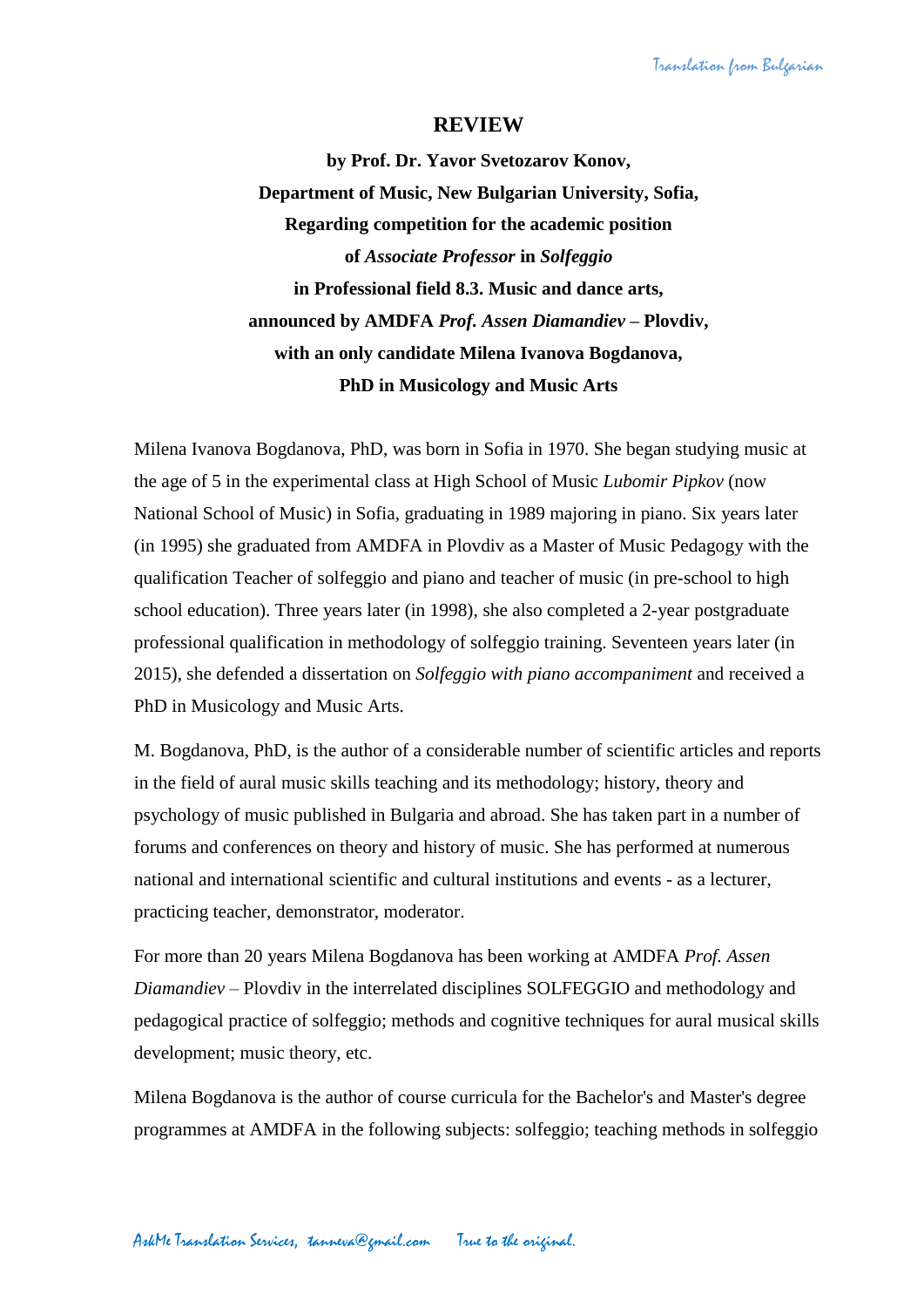Translation from Bulgarian

## **REVIEW**

**by Prof. Dr. Yavor Svetozarov Konov, Department of Music, New Bulgarian University, Sofia, Regarding competition for the academic position of** *Associate Professor* **in** *Solfeggio* **in Professional field 8.3. Music and dance arts, announced by AMDFA** *Prof. Assen Diamandiev* **– Plovdiv, with an only candidate Milena Ivanova Bogdanova, PhD in Musicology and Music Arts**

Milena Ivanova Bogdanova, PhD, was born in Sofia in 1970. She began studying music at the age of 5 in the experimental class at High School of Music *Lubomir Pipkov* (now National School of Music) in Sofia, graduating in 1989 majoring in piano. Six years later (in 1995) she graduated from AMDFA in Plovdiv as a Master of Music Pedagogy with the qualification Teacher of solfeggio and piano and teacher of music (in pre-school to high school education). Three years later (in 1998), she also completed a 2-year postgraduate professional qualification in methodology of solfeggio training. Seventeen years later (in 2015), she defended a dissertation on *Solfeggio with piano accompaniment* and received a PhD in Musicology and Music Arts.

M. Bogdanova, PhD, is the author of a considerable number of scientific articles and reports in the field of aural music skills teaching and its methodology; history, theory and psychology of music published in Bulgaria and abroad. She has taken part in a number of forums and conferences on theory and history of music. She has performed at numerous national and international scientific and cultural institutions and events - as a lecturer, practicing teacher, demonstrator, moderator.

For more than 20 years Milena Bogdanova has been working at AMDFA *Prof. Assen Diamandiev* – Plovdiv in the interrelated disciplines SOLFEGGIO and methodology and pedagogical practice of solfeggio; methods and cognitive techniques for aural musical skills development; music theory, etc.

Milena Bogdanova is the author of course curricula for the Bachelor's and Master's degree programmes at AMDFA in the following subjects: solfeggio; teaching methods in solfeggio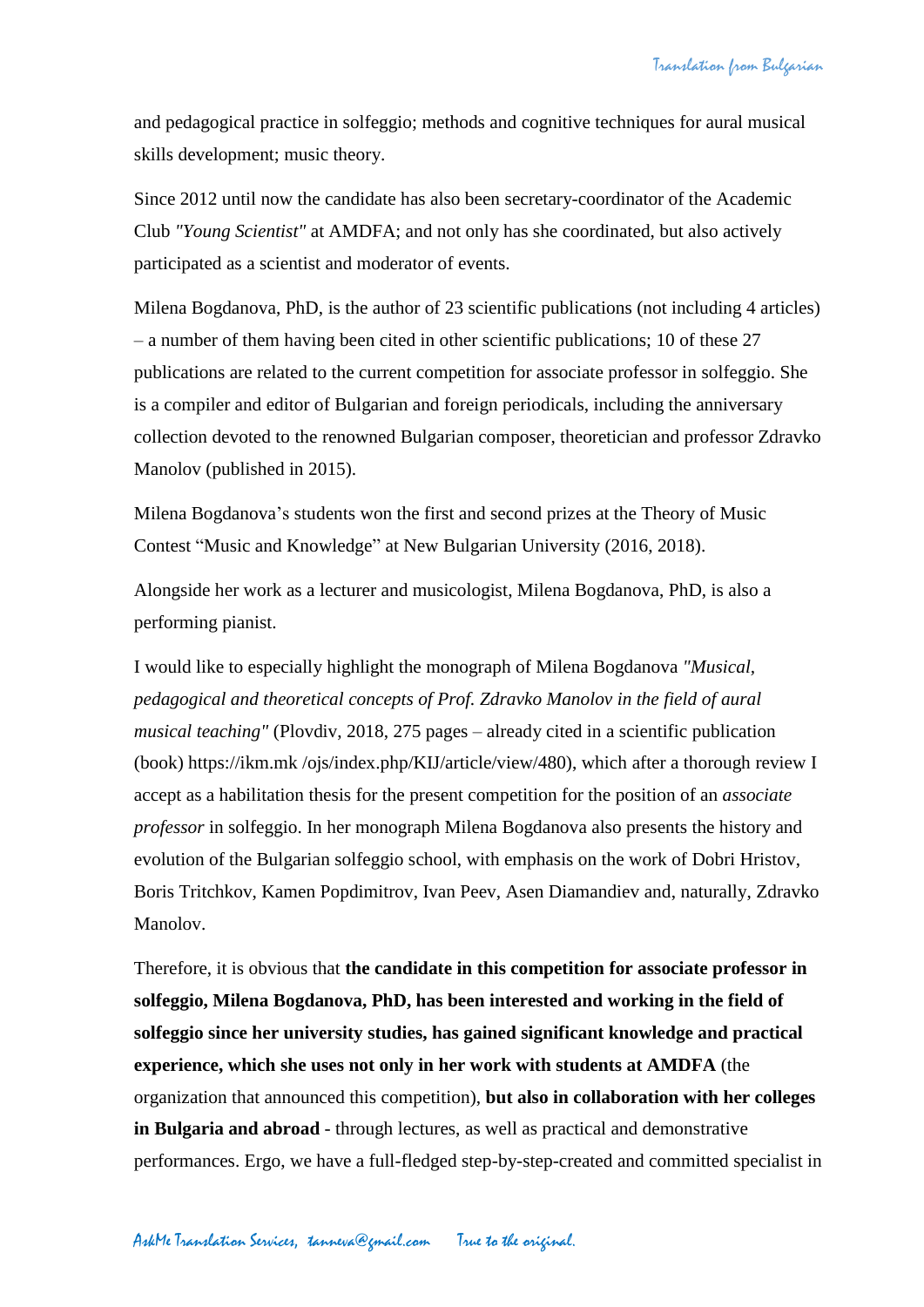and pedagogical practice in solfeggio; methods and cognitive techniques for aural musical skills development; music theory.

Since 2012 until now the candidate has also been secretary-coordinator of the Academic Club *"Young Scientist"* at AMDFA; and not only has she coordinated, but also actively participated as a scientist and moderator of events.

Milena Bogdanova, PhD, is the author of 23 scientific publications (not including 4 articles) – a number of them having been cited in other scientific publications; 10 of these 27 publications are related to the current competition for associate professor in solfeggio. She is a compiler and editor of Bulgarian and foreign periodicals, including the anniversary collection devoted to the renowned Bulgarian composer, theoretician and professor Zdravko Manolov (published in 2015).

Milena Bogdanova's students won the first and second prizes at the Theory of Music Contest "Music and Knowledge" at New Bulgarian University (2016, 2018).

Alongside her work as a lecturer and musicologist, Milena Bogdanova, PhD, is also a performing pianist.

I would like to especially highlight the monograph of Milena Bogdanova *"Musical, pedagogical and theoretical concepts of Prof. Zdravko Manolov in the field of aural musical teaching"* (Plovdiv, 2018, 275 pages – already cited in a scientific publication (book) https://ikm.mk /ojs/index.php/KIJ/article/view/480), which after a thorough review I accept as a habilitation thesis for the present competition for the position of an *associate professor* in solfeggio. In her monograph Milena Bogdanova also presents the history and evolution of the Bulgarian solfeggio school, with emphasis on the work of Dobri Hristov, Boris Tritchkov, Kamen Popdimitrov, Ivan Peev, Asen Diamandiev and, naturally, Zdravko Manolov.

Therefore, it is obvious that **the candidate in this competition for associate professor in solfeggio, Milena Bogdanova, PhD, has been interested and working in the field of solfeggio since her university studies, has gained significant knowledge and practical experience, which she uses not only in her work with students at AMDFA** (the organization that announced this competition), **but also in collaboration with her colleges in Bulgaria and abroad** - through lectures, as well as practical and demonstrative performances. Ergo, we have a full-fledged step-by-step-created and committed specialist in